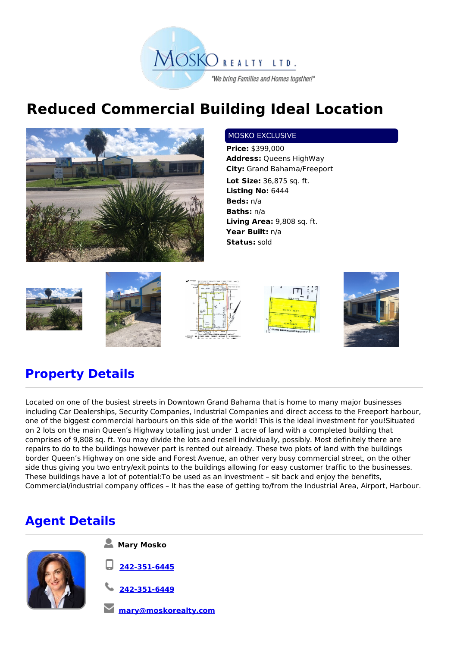

## **Reduced Commercial Building Ideal Location**



## MOSKO EXCLUSIVE

**Price:** \$399,000 **Address:** Queens HighWay **City:** Grand Bahama/Freeport **Lot Size:** 36,875 sq. ft. **Listing No:** 6444 **Beds:** n/a **Baths:** n/a **Living Area:** 9,808 sq. ft. **Year Built:** n/a **Status:** sold











## **Property Details**

Located on one of the busiest streets in Downtown Grand Bahama that is home to many major businesses including Car Dealerships, Security Companies, Industrial Companies and direct access to the Freeport harbour, one of the biggest commercial harbours on this side of the world! This is the ideal investment for you!Situated on 2 lots on the main Queen's Highway totalling just under 1 acre of land with a completed building that comprises of 9,808 sq. ft. You may divide the lots and resell individually, possibly. Most definitely there are repairs to do to the buildings however part is rented out already. These two plots of land with the buildings border Queen's Highway on one side and Forest Avenue, an other very busy commercial street, on the other side thus giving you two entry/exit points to the buildings allowing for easy customer traffic to the businesses. These buildings have a lot of potential:To be used as an investment – sit back and enjoy the benefits, Commercial/industrial company offices – It has the ease of getting to/from the Industrial Area, Airport, Harbour.

## **Agent Details**



**Mary Mosko**

**242-351-6445**

**242-351-6449**

**mary@moskorealty.com**